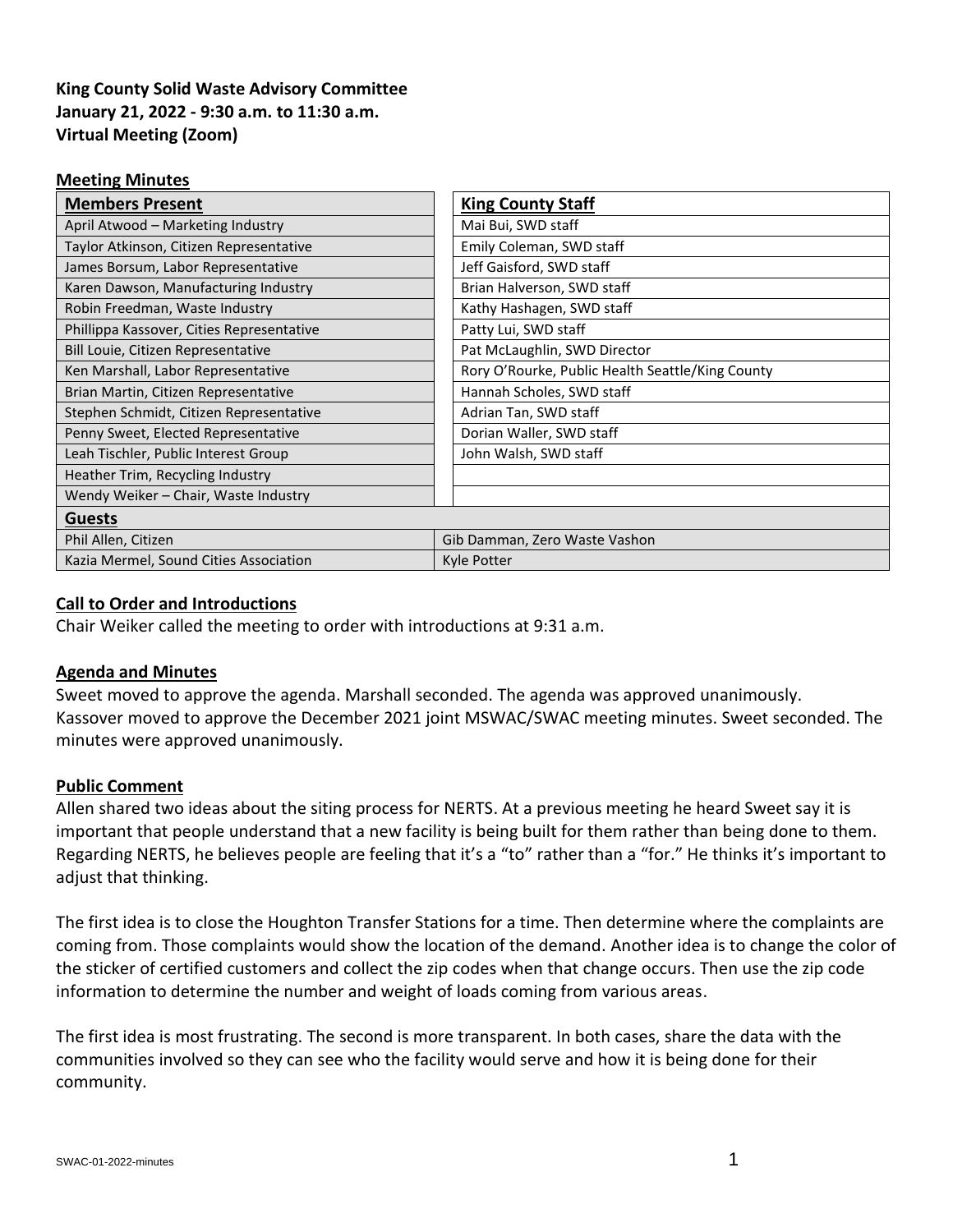# **King County Solid Waste Advisory Committee January 21, 2022 - 9:30 a.m. to 11:30 a.m. Virtual Meeting (Zoom)**

| <b>Meeting Minutes</b>                    |                                                  |
|-------------------------------------------|--------------------------------------------------|
| <b>Members Present</b>                    | <b>King County Staff</b>                         |
| April Atwood - Marketing Industry         | Mai Bui, SWD staff                               |
| Taylor Atkinson, Citizen Representative   | Emily Coleman, SWD staff                         |
| James Borsum, Labor Representative        | Jeff Gaisford, SWD staff                         |
| Karen Dawson, Manufacturing Industry      | Brian Halverson, SWD staff                       |
| Robin Freedman, Waste Industry            | Kathy Hashagen, SWD staff                        |
| Phillippa Kassover, Cities Representative | Patty Lui, SWD staff                             |
| Bill Louie, Citizen Representative        | Pat McLaughlin, SWD Director                     |
| Ken Marshall, Labor Representative        | Rory O'Rourke, Public Health Seattle/King County |
| Brian Martin, Citizen Representative      | Hannah Scholes, SWD staff                        |
| Stephen Schmidt, Citizen Representative   | Adrian Tan, SWD staff                            |
| Penny Sweet, Elected Representative       | Dorian Waller, SWD staff                         |
| Leah Tischler, Public Interest Group      | John Walsh, SWD staff                            |
| Heather Trim, Recycling Industry          |                                                  |
| Wendy Weiker - Chair, Waste Industry      |                                                  |
| <b>Guests</b>                             |                                                  |
| Phil Allen, Citizen                       | Gib Damman, Zero Waste Vashon                    |
| Kazia Mermel, Sound Cities Association    | Kyle Potter                                      |

# **Call to Order and Introductions**

Chair Weiker called the meeting to order with introductions at 9:31 a.m.

# **Agenda and Minutes**

Sweet moved to approve the agenda. Marshall seconded. The agenda was approved unanimously. Kassover moved to approve the December 2021 joint MSWAC/SWAC meeting minutes. Sweet seconded. The minutes were approved unanimously.

# **Public Comment**

Allen shared two ideas about the siting process for NERTS. At a previous meeting he heard Sweet say it is important that people understand that a new facility is being built for them rather than being done to them. Regarding NERTS, he believes people are feeling that it's a "to" rather than a "for." He thinks it's important to adjust that thinking.

The first idea is to close the Houghton Transfer Stations for a time. Then determine where the complaints are coming from. Those complaints would show the location of the demand. Another idea is to change the color of the sticker of certified customers and collect the zip codes when that change occurs. Then use the zip code information to determine the number and weight of loads coming from various areas.

The first idea is most frustrating. The second is more transparent. In both cases, share the data with the communities involved so they can see who the facility would serve and how it is being done for their community.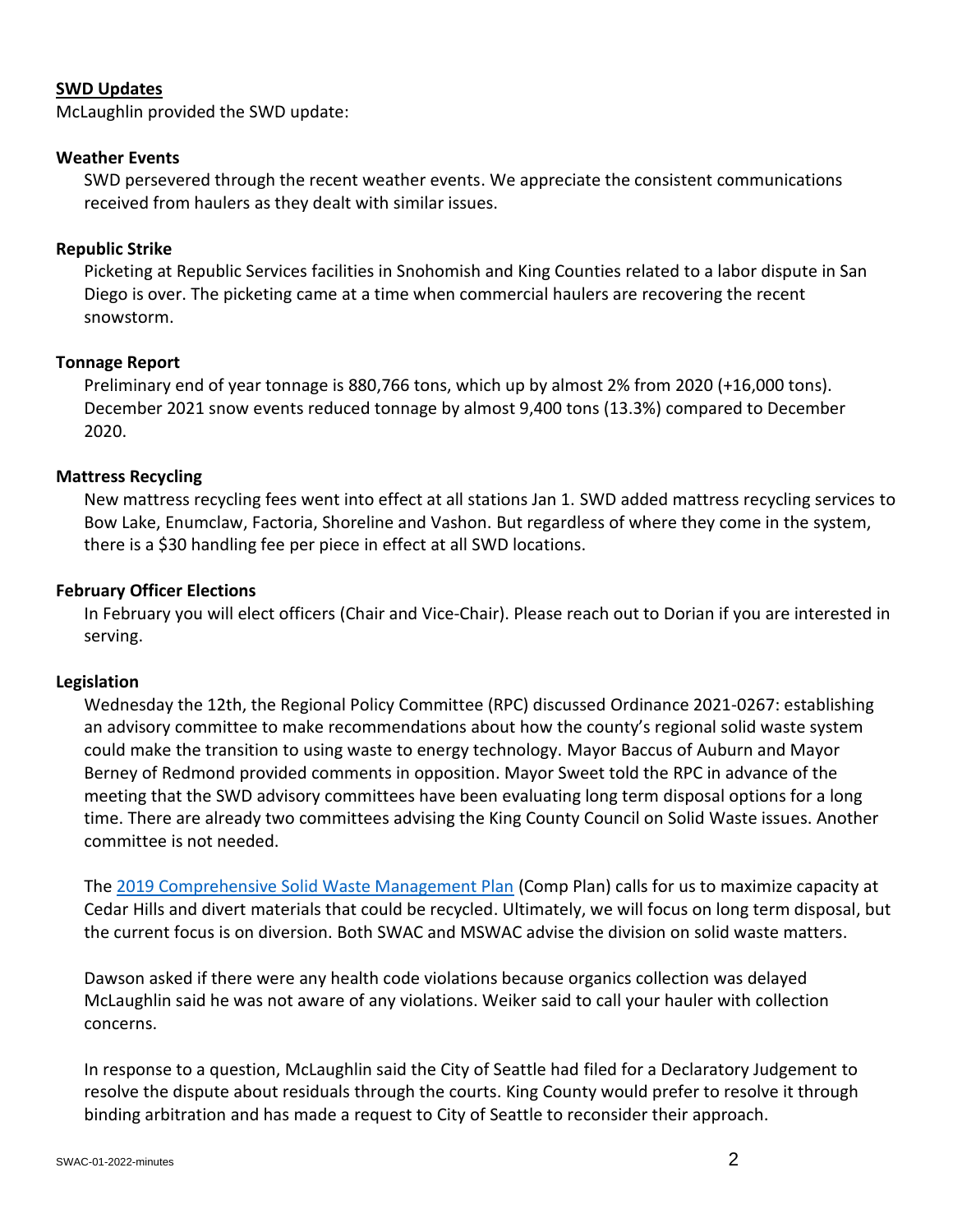### **SWD Updates**

McLaughlin provided the SWD update:

### **Weather Events**

SWD persevered through the recent weather events. We appreciate the consistent communications received from haulers as they dealt with similar issues.

### **Republic Strike**

Picketing at Republic Services facilities in Snohomish and King Counties related to a labor dispute in San Diego is over. The picketing came at a time when commercial haulers are recovering the recent snowstorm.

### **Tonnage Report**

Preliminary end of year tonnage is 880,766 tons, which up by almost 2% from 2020 (+16,000 tons). December 2021 snow events reduced tonnage by almost 9,400 tons (13.3%) compared to December 2020.

### **Mattress Recycling**

New mattress recycling fees went into effect at all stations Jan 1. SWD added mattress recycling services to Bow Lake, Enumclaw, Factoria, Shoreline and Vashon. But regardless of where they come in the system, there is a \$30 handling fee per piece in effect at all SWD locations.

### **February Officer Elections**

In February you will elect officers (Chair and Vice-Chair). Please reach out to Dorian if you are interested in serving.

#### **Legislation**

Wednesday the 12th, the Regional Policy Committee (RPC) discussed Ordinance 2021-0267: establishing an advisory committee to make recommendations about how the county's regional solid waste system could make the transition to using waste to energy technology. Mayor Baccus of Auburn and Mayor Berney of Redmond provided comments in opposition. Mayor Sweet told the RPC in advance of the meeting that the SWD advisory committees have been evaluating long term disposal options for a long time. There are already two committees advising the King County Council on Solid Waste issues. Another committee is not needed.

The [2019 Comprehensive Solid Waste Management Plan](https://kingcounty.gov/council/issues/solid-waste.aspx#:~:text=Comprehensive%20Solid%20Waste%20Management%20Plan%20The%20King%20County,years%2C%20with%20consideration%20of%20the%20next%2020%20years.) (Comp Plan) calls for us to maximize capacity at Cedar Hills and divert materials that could be recycled. Ultimately, we will focus on long term disposal, but the current focus is on diversion. Both SWAC and MSWAC advise the division on solid waste matters.

Dawson asked if there were any health code violations because organics collection was delayed McLaughlin said he was not aware of any violations. Weiker said to call your hauler with collection concerns.

In response to a question, McLaughlin said the City of Seattle had filed for a Declaratory Judgement to resolve the dispute about residuals through the courts. King County would prefer to resolve it through binding arbitration and has made a request to City of Seattle to reconsider their approach.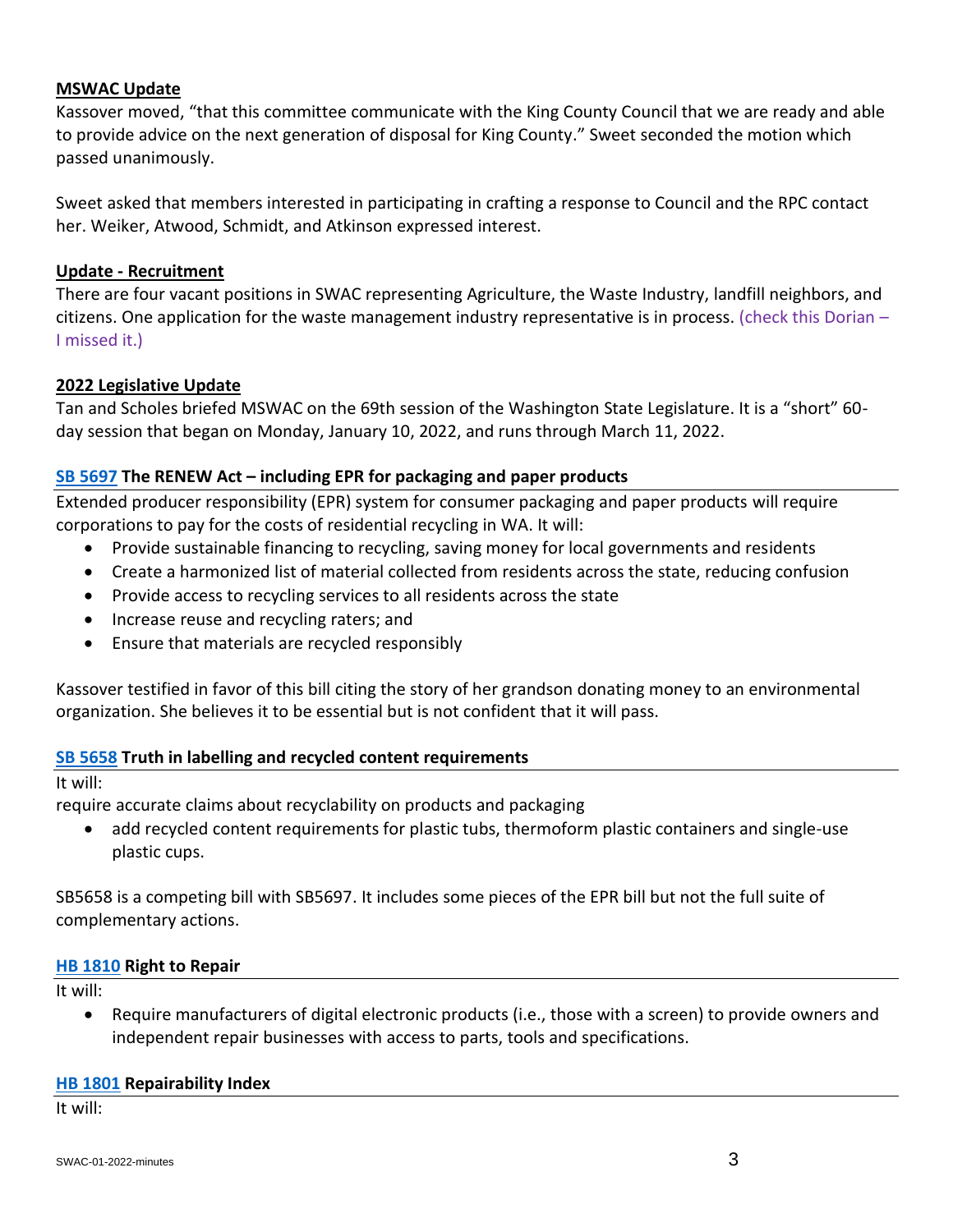# **MSWAC Update**

Kassover moved, "that this committee communicate with the King County Council that we are ready and able to provide advice on the next generation of disposal for King County." Sweet seconded the motion which passed unanimously.

Sweet asked that members interested in participating in crafting a response to Council and the RPC contact her. Weiker, Atwood, Schmidt, and Atkinson expressed interest.

#### **Update - Recruitment**

There are four vacant positions in SWAC representing Agriculture, the Waste Industry, landfill neighbors, and citizens. One application for the waste management industry representative is in process. (check this Dorian – I missed it.)

### **2022 Legislative Update**

Tan and Scholes briefed MSWAC on the 69th session of the Washington State Legislature. It is a "short" 60 day session that began on Monday, January 10, 2022, and runs through March 11, 2022.

### **SB [5697](https://app.leg.wa.gov/billsummary?BillNumber=5697&Year=2021&Initiative=false) The RENEW Act – including EPR for packaging and paper products**

Extended producer responsibility (EPR) system for consumer packaging and paper products will require corporations to pay for the costs of residential recycling in WA. It will:

- Provide sustainable financing to recycling, saving money for local governments and residents
- Create a harmonized list of material collected from residents across the state, reducing confusion
- Provide access to recycling services to all residents across the state
- Increase reuse and recycling raters; and
- Ensure that materials are recycled responsibly

Kassover testified in favor of this bill citing the story of her grandson donating money to an environmental organization. She believes it to be essential but is not confident that it will pass.

# **[SB 5658](https://app.leg.wa.gov/billsummary?billnumber=5658&year=2022) Truth in labelling and recycled content requirements**

It will:

require accurate claims about recyclability on products and packaging

• add recycled content requirements for plastic tubs, thermoform plastic containers and single-use plastic cups.

SB5658 is a competing bill with SB5697. It includes some pieces of the EPR bill but not the full suite of complementary actions.

#### **[HB 1810](https://app.leg.wa.gov/billsummary?BillNumber=1810&Year=2021&Initiative=false) Right to Repair**

It will:

• Require manufacturers of digital electronic products (i.e., those with a screen) to provide owners and independent repair businesses with access to parts, tools and specifications.

#### **[HB 1801](https://app.leg.wa.gov/billsummary?BillNumber=1801&Initiative=false&Year=2021) Repairability Index**

It will: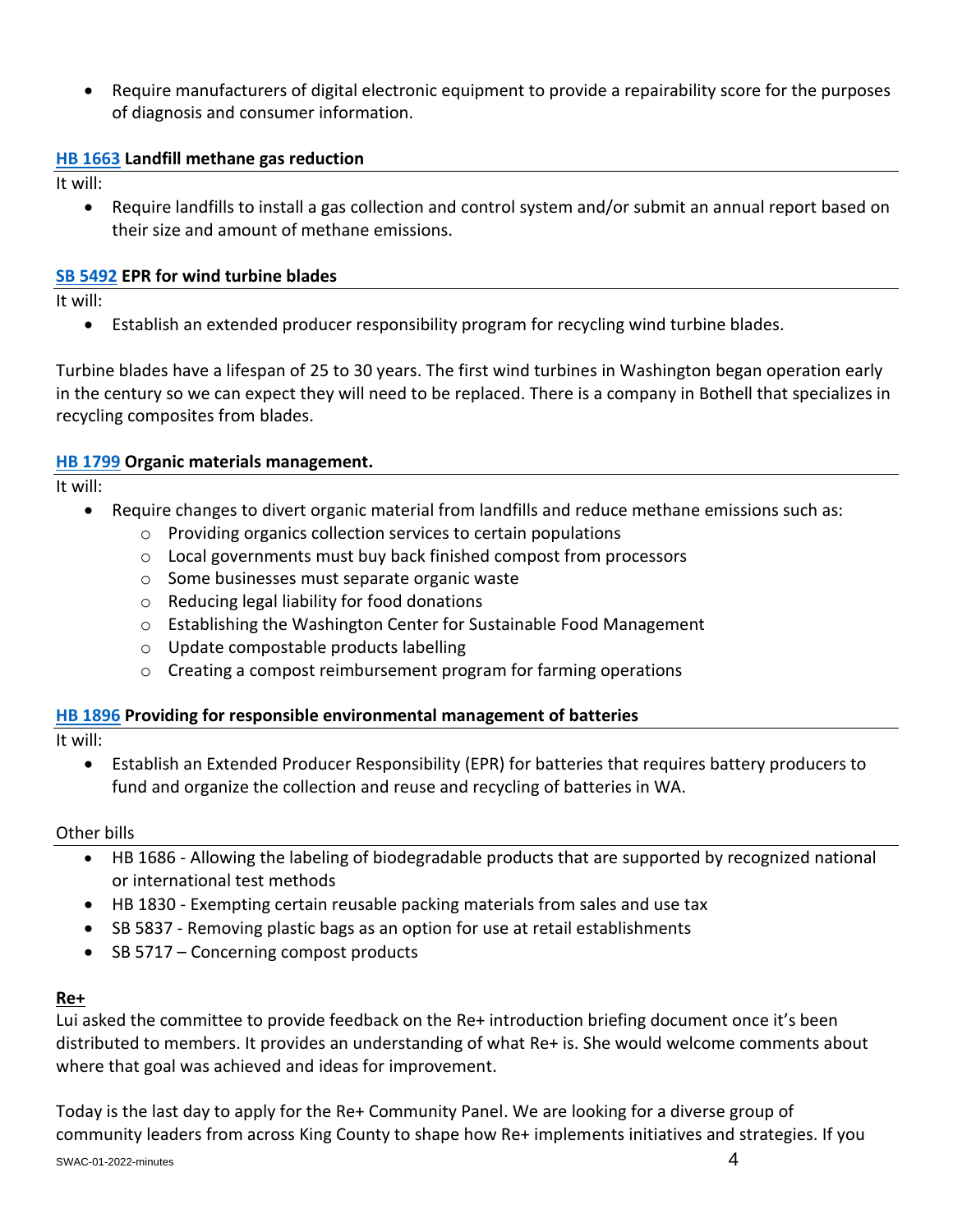• Require manufacturers of digital electronic equipment to provide a repairability score for the purposes of diagnosis and consumer information.

# **[HB 1663](https://app.leg.wa.gov/billsummary?billnumber=1663&year=2022) Landfill methane gas reduction**

It will:

• Require landfills to install a gas collection and control system and/or submit an annual report based on their size and amount of methane emissions.

# **[SB 5492](https://app.leg.wa.gov/billsummary?billnumber=5492&year=2022) EPR for wind turbine blades**

It will:

• Establish an extended producer responsibility program for recycling wind turbine blades.

Turbine blades have a lifespan of 25 to 30 years. The first wind turbines in Washington began operation early in the century so we can expect they will need to be replaced. There is a company in Bothell that specializes in recycling composites from blades.

### **[HB 1799](https://app.leg.wa.gov/billsummary?BillNumber=1799&Year=2021&Initiative=false) Organic materials management.**

It will:

- Require changes to divert organic material from landfills and reduce methane emissions such as:
	- o Providing organics collection services to certain populations
	- o Local governments must buy back finished compost from processors
	- o Some businesses must separate organic waste
	- o Reducing legal liability for food donations
	- o Establishing the Washington Center for Sustainable Food Management
	- o Update compostable products labelling
	- $\circ$  Creating a compost reimbursement program for farming operations

# **[HB 1896](https://app.leg.wa.gov/billsummary?BillNumber=1896&Year=2021) Providing for responsible environmental management of batteries**

It will:

• Establish an Extended Producer Responsibility (EPR) for batteries that requires battery producers to fund and organize the collection and reuse and recycling of batteries in WA.

#### Other bills

- HB 1686 Allowing the labeling of biodegradable products that are supported by recognized national or international test methods
- HB 1830 Exempting certain reusable packing materials from sales and use tax
- SB 5837 Removing plastic bags as an option for use at retail establishments
- SB 5717 Concerning compost products

# **Re+**

Lui asked the committee to provide feedback on the Re+ introduction briefing document once it's been distributed to members. It provides an understanding of what Re+ is. She would welcome comments about where that goal was achieved and ideas for improvement.

Today is the last day to apply for the Re+ Community Panel. We are looking for a diverse group of community leaders from across King County to shape how Re+ implements initiatives and strategies. If you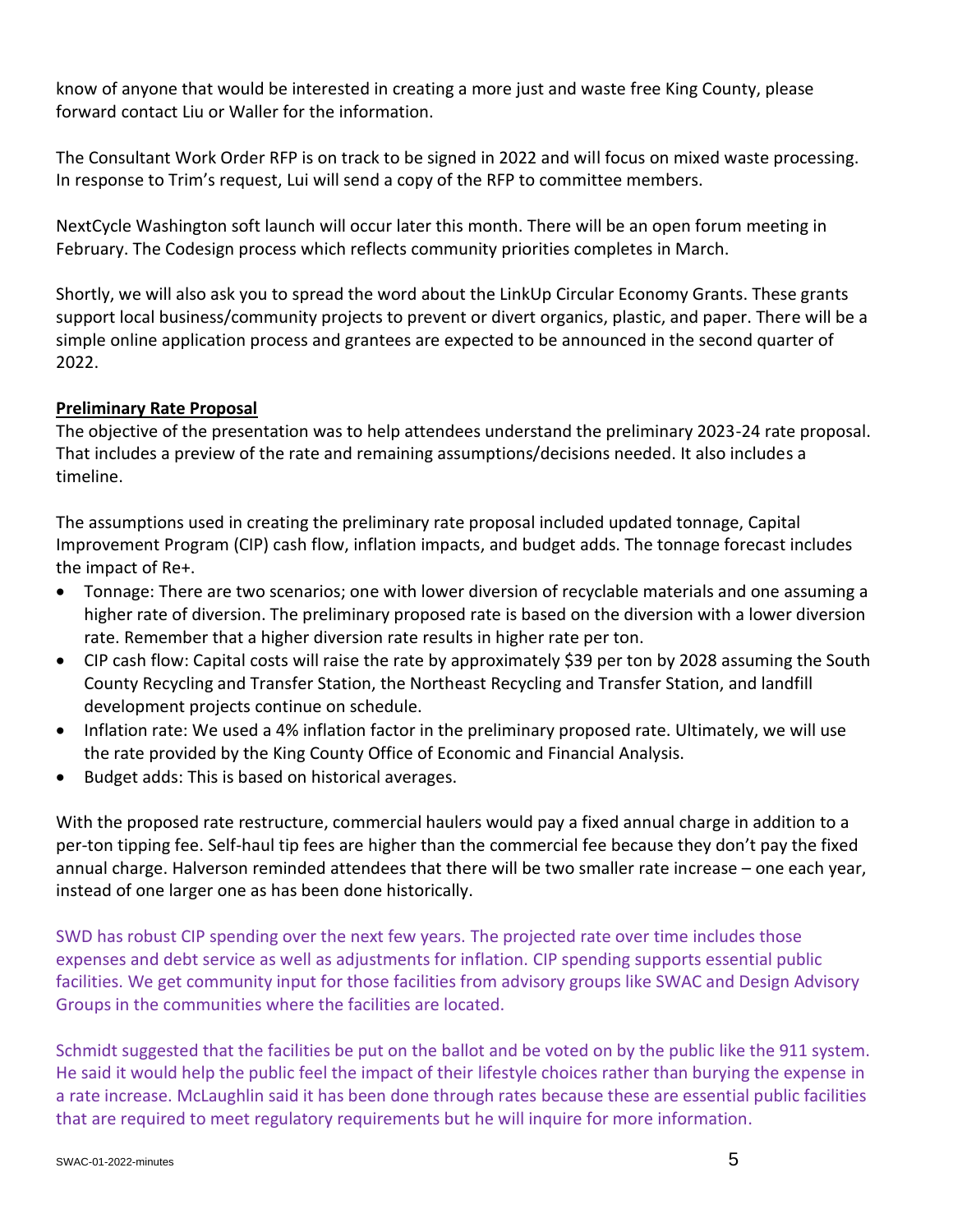know of anyone that would be interested in creating a more just and waste free King County, please forward contact Liu or Waller for the information.

The Consultant Work Order RFP is on track to be signed in 2022 and will focus on mixed waste processing. In response to Trim's request, Lui will send a copy of the RFP to committee members.

NextCycle Washington soft launch will occur later this month. There will be an open forum meeting in February. The Codesign process which reflects community priorities completes in March.

Shortly, we will also ask you to spread the word about the LinkUp Circular Economy Grants. These grants support local business/community projects to prevent or divert organics, plastic, and paper. There will be a simple online application process and grantees are expected to be announced in the second quarter of 2022.

# **Preliminary Rate Proposal**

The objective of the presentation was to help attendees understand the preliminary 2023-24 rate proposal. That includes a preview of the rate and remaining assumptions/decisions needed. It also includes a timeline.

The assumptions used in creating the preliminary rate proposal included updated tonnage, Capital Improvement Program (CIP) cash flow, inflation impacts, and budget adds. The tonnage forecast includes the impact of Re+.

- Tonnage: There are two scenarios; one with lower diversion of recyclable materials and one assuming a higher rate of diversion. The preliminary proposed rate is based on the diversion with a lower diversion rate. Remember that a higher diversion rate results in higher rate per ton.
- CIP cash flow: Capital costs will raise the rate by approximately \$39 per ton by 2028 assuming the South County Recycling and Transfer Station, the Northeast Recycling and Transfer Station, and landfill development projects continue on schedule.
- Inflation rate: We used a 4% inflation factor in the preliminary proposed rate. Ultimately, we will use the rate provided by the King County Office of Economic and Financial Analysis.
- Budget adds: This is based on historical averages.

With the proposed rate restructure, commercial haulers would pay a fixed annual charge in addition to a per-ton tipping fee. Self-haul tip fees are higher than the commercial fee because they don't pay the fixed annual charge. Halverson reminded attendees that there will be two smaller rate increase – one each year, instead of one larger one as has been done historically.

SWD has robust CIP spending over the next few years. The projected rate over time includes those expenses and debt service as well as adjustments for inflation. CIP spending supports essential public facilities. We get community input for those facilities from advisory groups like SWAC and Design Advisory Groups in the communities where the facilities are located.

Schmidt suggested that the facilities be put on the ballot and be voted on by the public like the 911 system. He said it would help the public feel the impact of their lifestyle choices rather than burying the expense in a rate increase. McLaughlin said it has been done through rates because these are essential public facilities that are required to meet regulatory requirements but he will inquire for more information.